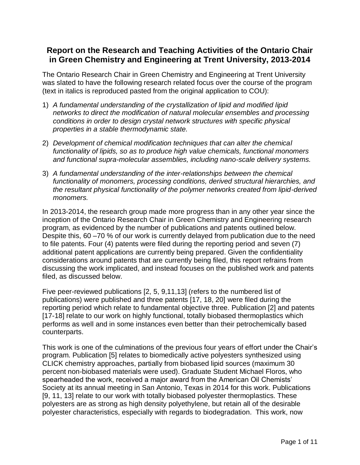# **Report on the Research and Teaching Activities of the Ontario Chair in Green Chemistry and Engineering at Trent University, 2013-2014**

The Ontario Research Chair in Green Chemistry and Engineering at Trent University was slated to have the following research related focus over the course of the program (text in italics is reproduced pasted from the original application to COU):

- 1) *A fundamental understanding of the crystallization of lipid and modified lipid networks to direct the modification of natural molecular ensembles and processing conditions in order to design crystal network structures with specific physical properties in a stable thermodynamic state.*
- 2) *Development of chemical modification techniques that can alter the chemical functionality of lipids, so as to produce high value chemicals, functional monomers and functional supra-molecular assemblies, including nano-scale delivery systems.*
- 3) *A fundamental understanding of the inter-relationships between the chemical functionality of monomers, processing conditions, derived structural hierarchies, and the resultant physical functionality of the polymer networks created from lipid-derived monomers.*

In 2013-2014, the research group made more progress than in any other year since the inception of the Ontario Research Chair in Green Chemistry and Engineering research program, as evidenced by the number of publications and patents outlined below. Despite this, 60 –70 % of our work is currently delayed from publication due to the need to file patents. Four (4) patents were filed during the reporting period and seven (7) additional patent applications are currently being prepared. Given the confidentiality considerations around patents that are currently being filed, this report refrains from discussing the work implicated, and instead focuses on the published work and patents filed, as discussed below.

Five peer-reviewed publications [2, 5, 9,11,13] (refers to the numbered list of publications) were published and three patents [17, 18, 20] were filed during the reporting period which relate to fundamental objective three. Publication [2] and patents [17-18] relate to our work on highly functional, totally biobased thermoplastics which performs as well and in some instances even better than their petrochemically based counterparts.

This work is one of the culminations of the previous four years of effort under the Chair's program. Publication [5] relates to biomedically active polyesters synthesized using CLICK chemistry approaches, partially from biobased lipid sources (maximum 30 percent non-biobased materials were used). Graduate Student Michael Floros, who spearheaded the work, received a major award from the American Oil Chemists' Society at its annual meeting in San Antonio, Texas in 2014 for this work. Publications [9, 11, 13] relate to our work with totally biobased polyester thermoplastics. These polyesters are as strong as high density polyethylene, but retain all of the desirable polyester characteristics, especially with regards to biodegradation. This work, now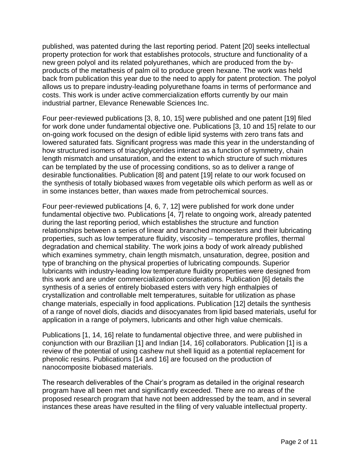published, was patented during the last reporting period. Patent [20] seeks intellectual property protection for work that establishes protocols, structure and functionality of a new green polyol and its related polyurethanes, which are produced from the byproducts of the metathesis of palm oil to produce green hexane. The work was held back from publication this year due to the need to apply for patent protection. The polyol allows us to prepare industry-leading polyurethane foams in terms of performance and costs. This work is under active commercialization efforts currently by our main industrial partner, Elevance Renewable Sciences Inc.

Four peer-reviewed publications [3, 8, 10, 15] were published and one patent [19] filed for work done under fundamental objective one. Publications [3, 10 and 15] relate to our on-going work focused on the design of edible lipid systems with zero trans fats and lowered saturated fats. Significant progress was made this year in the understanding of how structured isomers of triacylglycerides interact as a function of symmetry, chain length mismatch and unsaturation, and the extent to which structure of such mixtures can be templated by the use of processing conditions, so as to deliver a range of desirable functionalities. Publication [8] and patent [19] relate to our work focused on the synthesis of totally biobased waxes from vegetable oils which perform as well as or in some instances better, than waxes made from petrochemical sources.

Four peer-reviewed publications [4, 6, 7, 12] were published for work done under fundamental objective two. Publications [4, 7] relate to ongoing work, already patented during the last reporting period, which establishes the structure and function relationships between a series of linear and branched monoesters and their lubricating properties, such as low temperature fluidity, viscosity – temperature profiles, thermal degradation and chemical stability. The work joins a body of work already published which examines symmetry, chain length mismatch, unsaturation, degree, position and type of branching on the physical properties of lubricating compounds. Superior lubricants with industry-leading low temperature fluidity properties were designed from this work and are under commercialization considerations. Publication [6] details the synthesis of a series of entirely biobased esters with very high enthalpies of crystallization and controllable melt temperatures, suitable for utilization as phase change materials, especially in food applications. Publication [12] details the synthesis of a range of novel diols, diacids and diisocyanates from lipid based materials, useful for application in a range of polymers, lubricants and other high value chemicals.

Publications [1, 14, 16] relate to fundamental objective three, and were published in conjunction with our Brazilian [1] and Indian [14, 16] collaborators. Publication [1] is a review of the potential of using cashew nut shell liquid as a potential replacement for phenolic resins. Publications [14 and 16] are focused on the production of nanocomposite biobased materials.

The research deliverables of the Chair's program as detailed in the original research program have all been met and significantly exceeded. There are no areas of the proposed research program that have not been addressed by the team, and in several instances these areas have resulted in the filing of very valuable intellectual property.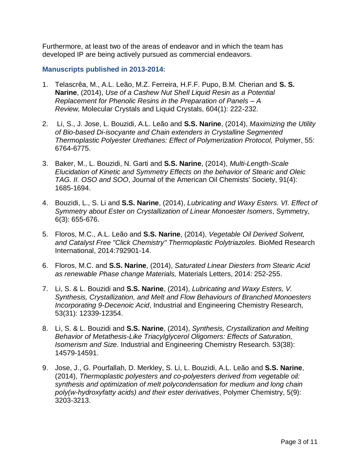Furthermore, at least two of the areas of endeavor and in which the team has developed IP are being actively pursued as commercial endeavors.

### **Manuscripts published in 2013-2014:**

- 1. Telascrêa, M., A.L. Leão, M.Z. Ferreira, H.F.F. Pupo, B.M. Cherian and **S. S. Narine**, (2014), *Use of a Cashew Nut Shell Liquid Resin as a Potential Replacement for Phenolic Resins in the Preparation of Panels – A Review,* Molecular Crystals and Liquid Crystals, 604(1): 222-232.
- 2. Li, S., J. Jose, L. Bouzidi, A.L. Leão and **S.S. Narine**, (2014), *Maximizing the Utility of Bio-based Di-isocyante and Chain extenders in Crystalline Segmented Thermoplastic Polyester Urethanes: Effect of Polymerization Protocol,* Polymer, 55: 6764-6775.
- 3. Baker, M., L. Bouzidi, N. Garti and **S.S. Narine**, (2014), *Multi-Length-Scale Elucidation of Kinetic and Symmetry Effects on the behavior of Stearic and Oleic TAG. II. OSO and SOO*, Journal of the American Oil Chemists' Society, 91(4): 1685-1694.
- 4. Bouzidi, L., S. Li and **S.S. Narine**, (2014), *Lubricating and Waxy Esters. VI. Effect of Symmetry about Ester on Crystallization of Linear Monoester Isomers*, Symmetry, 6(3): 655-676.
- 5. Floros, M.C., A.L. Leão and **S.S. Narine**, (2014), *Vegetable Oil Derived Solvent, and Catalyst Free "Click Chemistry" Thermoplastic Polytriazoles.* BioMed Research International, 2014:792901-14.
- 6. Floros, M.C. and **S.S. Narine**, (2014), *Saturated Linear Diesters from Stearic Acid as renewable Phase change Materials,* Materials Letters, 2014: 252-255.
- 7. Li, S. & L. Bouzidi and **S.S. Narine**, (2014), *Lubricating and Waxy Esters, V. Synthesis, Crystallization, and Melt and Flow Behaviours of Branched Monoesters Incorporating 9-Decenoic Acid*, Industrial and Engineering Chemistry Research, 53(31): 12339-12354.
- 8. Li, S. & L. Bouzidi and **S.S. Narine**, (2014), *Synthesis, Crystallization and Melting Behavior of Metathesis-Like Triacylglycerol Oligomers: Effects of Saturation, Isomerism and Size*. Industrial and Engineering Chemistry Research. 53(38): 14579-14591.
- 9. Jose, J., G. Pourfallah, D. Merkley, S. Li, L. Bouzidi, A.L. Leão and **S.S. Narine**, (2014), *Thermoplastic polyesters and co-polyesters derived from vegetable oil: synthesis and optimization of melt polycondensation for medium and long chain poly(w-hydroxyfatty acids) and their ester derivatives*, Polymer Chemistry, 5(9): 3203-3213.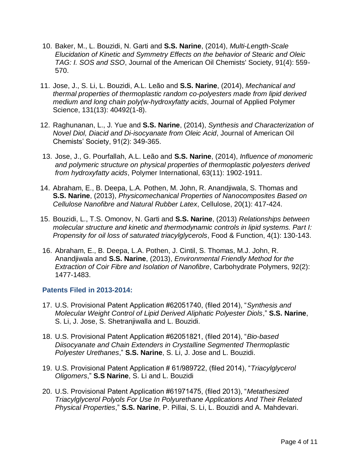- 10. Baker, M., L. Bouzidi, N. Garti and **S.S. Narine**, (2014), *Multi-Length-Scale Elucidation of Kinetic and Symmetry Effects on the behavior of Stearic and Oleic TAG: I. SOS and SSO*, Journal of the American Oil Chemists' Society, 91(4): 559- 570.
- 11. Jose, J., S. Li, L. Bouzidi, A.L. Leão and **S.S. Narine**, (2014), *Mechanical and thermal properties of thermoplastic random co-polyesters made from lipid derived medium and long chain poly(w-hydroxyfatty acids*, Journal of Applied Polymer Science, 131(13): 40492(1-8).
- 12. Raghunanan, L., J. Yue and **S.S. Narine**, (2014), *Synthesis and Characterization of Novel Diol, Diacid and Di-isocyanate from Oleic Acid*, Journal of American Oil Chemists' Society, 91(2): 349-365.
- 13. Jose, J., G. Pourfallah, A.L. Leão and **S.S. Narine**, (2014), *Influence of monomeric and polymeric structure on physical properties of thermoplastic polyesters derived from hydroxyfatty acids*, Polymer International, 63(11): 1902-1911.
- 14. Abraham, E., B. Deepa, L.A. Pothen, M. John, R. Anandjiwala, S. Thomas and **S.S. Narine**, (2013), *Physicomechanical Properties of Nanocomposites Based on Cellulose Nanofibre and Natural Rubber Latex*, Cellulose, 20(1): 417-424.
- 15. Bouzidi, L., T.S. Omonov, N. Garti and **S.S. Narine**, (2013) *Relationships between molecular structure and kinetic and thermodynamic controls in lipid systems. Part I: Propensity for oil loss of saturated triacylglycerols*, Food & Function, 4(1): 130-143.
- 16. Abraham, E., B. Deepa, L.A. Pothen, J. Cintil, S. Thomas, M.J. John, R. Anandjiwala and **S.S. Narine**, (2013), *Environmental Friendly Method for the Extraction of Coir Fibre and Isolation of Nanofibre*, Carbohydrate Polymers, 92(2): 1477-1483.

# **Patents Filed in 2013-2014:**

- 17. U.S. Provisional Patent Application #62051740, (filed 2014), "*Synthesis and Molecular Weight Control of Lipid Derived Aliphatic Polyester Diols*," **S.S. Narine**, S. Li, J. Jose, S. Shetranjiwalla and L. Bouzidi.
- 18. U.S. Provisional Patent Application #62051821, (filed 2014), "*Bio-based Diisocyanate and Chain Extenders in Crystalline Segmented Thermoplastic Polyester Urethanes*," **S.S. Narine**, S. Li, J. Jose and L. Bouzidi.
- 19. U.S. Provisional Patent Application # 61/989722, (filed 2014), "*Triacylglycerol Oligomers*," **S.S Narine**, S. Li and L. Bouzidi
- 20. U.S. Provisional Patent Application #61971475, (filed 2013), "*Metathesized Triacylglycerol Polyols For Use In Polyurethane Applications And Their Related Physical Properties*," **S.S. Narine**, P. Pillai, S. Li, L. Bouzidi and A. Mahdevari.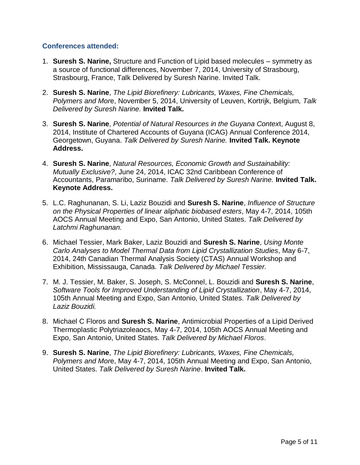# **Conferences attended:**

- 1. **Suresh S. Narine,** Structure and Function of Lipid based molecules symmetry as a source of functional differences, November 7, 2014, University of Strasbourg, Strasbourg, France, Talk Delivered by Suresh Narine. Invited Talk.
- 2. **Suresh S. Narine**, *The Lipid Biorefinery: Lubricants, Waxes, Fine Chemicals, Polymers and Mor*e, November 5, 2014, University of Leuven, Kortrijk, Belgium, *Talk Delivered by Suresh Narine.* **Invited Talk.**
- 3. **Suresh S. Narine**, *Potential of Natural Resources in the Guyana Contex*t, August 8, 2014, Institute of Chartered Accounts of Guyana (ICAG) Annual Conference 2014, Georgetown, Guyana. *Talk Delivered by Suresh Narine.* **Invited Talk. Keynote Address.**
- 4. **Suresh S. Narine**, *Natural Resources, Economic Growth and Sustainability: Mutually Exclusive?*, June 24, 2014, ICAC 32nd Caribbean Conference of Accountants, Paramaribo, Suriname. *Talk Delivered by Suresh Narine.* **Invited Talk. Keynote Address.**
- 5. L.C. Raghunanan, S. Li, Laziz Bouzidi and **Suresh S. Narine**, *Influence of Structure on the Physical Properties of linear aliphatic biobased esters*, May 4-7, 2014, 105th AOCS Annual Meeting and Expo, San Antonio, United States. *Talk Delivered by Latchmi Raghunanan.*
- 6. Michael Tessier, Mark Baker, Laziz Bouzidi and **Suresh S. Narine**, *Using Monte Carlo Analyses to Model Thermal Data from Lipid Crystallization Studies*, May 6-7, 2014, 24th Canadian Thermal Analysis Society (CTAS) Annual Workshop and Exhibition, Mississauga, Canada. *Talk Delivered by Michael Tessier.*
- 7. M. J. Tessier, M. Baker, S. Joseph, S. McConnel, L. Bouzidi and **Suresh S. Narine**, *Software Tools for Improved Understanding of Lipid Crystallization*, May 4-7, 2014, 105th Annual Meeting and Expo, San Antonio, United States. *Talk Delivered by Laziz Bouzidi.*
- 8. Michael C Floros and **Suresh S. Narine**, Antimicrobial Properties of a Lipid Derived Thermoplastic Polytriazoleaocs, May 4-7, 2014, 105th AOCS Annual Meeting and Expo, San Antonio, United States. *Talk Delivered by Michael Floros*.
- 9. **Suresh S. Narine**, *The Lipid Biorefinery: Lubricants, Waxes, Fine Chemicals, Polymers and Mor*e, May 4-7, 2014, 105th Annual Meeting and Expo, San Antonio, United States. *Talk Delivered by Suresh Narine*. **Invited Talk.**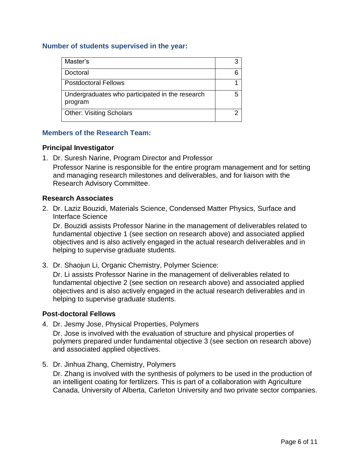### **Number of students supervised in the year:**

| Master's                                                   |  |
|------------------------------------------------------------|--|
| Doctoral                                                   |  |
| <b>Postdoctoral Fellows</b>                                |  |
| Undergraduates who participated in the research<br>program |  |
| <b>Other: Visiting Scholars</b>                            |  |

### **Members of the Research Team:**

### **Principal Investigator**

1. Dr. Suresh Narine, Program Director and Professor

Professor Narine is responsible for the entire program management and for setting and managing research milestones and deliverables, and for liaison with the Research Advisory Committee.

### **Research Associates**

2. Dr. Laziz Bouzidi, Materials Science, Condensed Matter Physics, Surface and Interface Science

Dr. Bouzidi assists Professor Narine in the management of deliverables related to fundamental objective 1 (see section on research above) and associated applied objectives and is also actively engaged in the actual research deliverables and in helping to supervise graduate students.

3. Dr. Shaojun Li, Organic Chemistry, Polymer Science:

Dr. Li assists Professor Narine in the management of deliverables related to fundamental objective 2 (see section on research above) and associated applied objectives and is also actively engaged in the actual research deliverables and in helping to supervise graduate students.

#### **Post-doctoral Fellows**

4. Dr. Jesmy Jose, Physical Properties, Polymers

Dr. Jose is involved with the evaluation of structure and physical properties of polymers prepared under fundamental objective 3 (see section on research above) and associated applied objectives.

5. Dr. Jinhua Zhang, Chemistry, Polymers Dr. Zhang is involved with the synthesis of polymers to be used in the production of an intelligent coating for fertilizers. This is part of a collaboration with Agriculture Canada, University of Alberta, Carleton University and two private sector companies.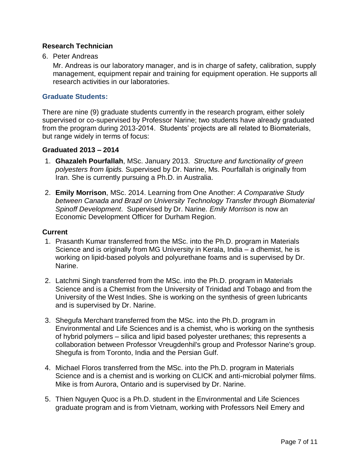# **Research Technician**

6. Peter Andreas

Mr. Andreas is our laboratory manager, and is in charge of safety, calibration, supply management, equipment repair and training for equipment operation. He supports all research activities in our laboratories.

# **Graduate Students:**

There are nine (9) graduate students currently in the research program, either solely supervised or co-supervised by Professor Narine; two students have already graduated from the program during 2013-2014. Students' projects are all related to Biomaterials, but range widely in terms of focus:

### **Graduated 2013 – 2014**

- 1. **Ghazaleh Pourfallah**, MSc. January 2013. *Structure and functionality of green polyesters from lipids.* Supervised by Dr. Narine, Ms. Pourfallah is originally from Iran. She is currently pursuing a Ph.D. in Australia.
- 2. **Emily Morrison**, MSc. 2014. Learning from One Another: *A Comparative Study between Canada and Brazil on University Technology Transfer through Biomaterial Spinoff Development*. Supervised by Dr. Narine*. Emily Morrison* is now an Economic Development Officer for Durham Region.

#### **Current**

- 1. Prasanth Kumar transferred from the MSc. into the Ph.D. program in Materials Science and is originally from MG University in Kerala, India – a dhemist, he is working on lipid-based polyols and polyurethane foams and is supervised by Dr. Narine.
- 2. Latchmi Singh transferred from the MSc. into the Ph.D. program in Materials Science and is a Chemist from the University of Trinidad and Tobago and from the University of the West Indies. She is working on the synthesis of green lubricants and is supervised by Dr. Narine.
- 3. Shegufa Merchant transferred from the MSc. into the Ph.D. program in Environmental and Life Sciences and is a chemist, who is working on the synthesis of hybrid polymers – silica and lipid based polyester urethanes; this represents a collaboration between Professor Vreugdenhil's group and Professor Narine's group. Shegufa is from Toronto, India and the Persian Gulf.
- 4. Michael Floros transferred from the MSc. into the Ph.D. program in Materials Science and is a chemist and is working on CLICK and anti-microbial polymer films. Mike is from Aurora, Ontario and is supervised by Dr. Narine.
- 5. Thien Nguyen Quoc is a Ph.D. student in the Environmental and Life Sciences graduate program and is from Vietnam, working with Professors Neil Emery and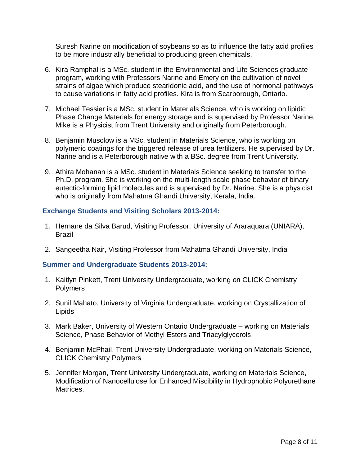Suresh Narine on modification of soybeans so as to influence the fatty acid profiles to be more industrially beneficial to producing green chemicals.

- 6. Kira Ramphal is a MSc. student in the Environmental and Life Sciences graduate program, working with Professors Narine and Emery on the cultivation of novel strains of algae which produce stearidonic acid, and the use of hormonal pathways to cause variations in fatty acid profiles. Kira is from Scarborough, Ontario.
- 7. Michael Tessier is a MSc. student in Materials Science, who is working on lipidic Phase Change Materials for energy storage and is supervised by Professor Narine. Mike is a Physicist from Trent University and originally from Peterborough.
- 8. Benjamin Musclow is a MSc. student in Materials Science, who is working on polymeric coatings for the triggered release of urea fertilizers. He supervised by Dr. Narine and is a Peterborough native with a BSc. degree from Trent University.
- 9. Athira Mohanan is a MSc. student in Materials Science seeking to transfer to the Ph.D. program. She is working on the multi-length scale phase behavior of binary eutectic-forming lipid molecules and is supervised by Dr. Narine. She is a physicist who is originally from Mahatma Ghandi University, Kerala, India.

# **Exchange Students and Visiting Scholars 2013-2014:**

- 1. Hernane da Silva Barud, Visiting Professor, University of Araraquara (UNIARA), Brazil
- 2. Sangeetha Nair, Visiting Professor from Mahatma Ghandi University, India

# **Summer and Undergraduate Students 2013-2014:**

- 1. Kaitlyn Pinkett, Trent University Undergraduate, working on CLICK Chemistry Polymers
- 2. Sunil Mahato, University of Virginia Undergraduate, working on Crystallization of Lipids
- 3. Mark Baker, University of Western Ontario Undergraduate working on Materials Science, Phase Behavior of Methyl Esters and Triacylglycerols
- 4. Benjamin McPhail, Trent University Undergraduate, working on Materials Science, CLICK Chemistry Polymers
- 5. Jennifer Morgan, Trent University Undergraduate, working on Materials Science, Modification of Nanocellulose for Enhanced Miscibility in Hydrophobic Polyurethane Matrices.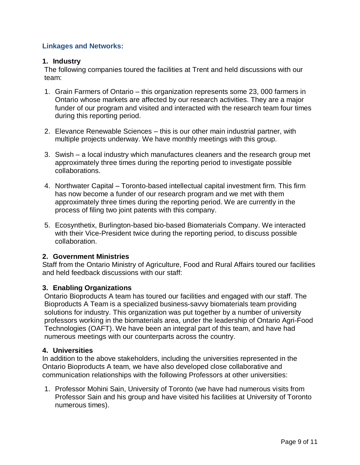# **Linkages and Networks:**

# **1. Industry**

The following companies toured the facilities at Trent and held discussions with our team:

- 1. Grain Farmers of Ontario this organization represents some 23, 000 farmers in Ontario whose markets are affected by our research activities. They are a major funder of our program and visited and interacted with the research team four times during this reporting period.
- 2. Elevance Renewable Sciences this is our other main industrial partner, with multiple projects underway. We have monthly meetings with this group.
- 3. Swish a local industry which manufactures cleaners and the research group met approximately three times during the reporting period to investigate possible collaborations.
- 4. Northwater Capital Toronto-based intellectual capital investment firm. This firm has now become a funder of our research program and we met with them approximately three times during the reporting period. We are currently in the process of filing two joint patents with this company.
- 5. Ecosynthetix, Burlington-based bio-based Biomaterials Company. We interacted with their Vice-President twice during the reporting period, to discuss possible collaboration.

# **2. Government Ministries**

Staff from the Ontario Ministry of Agriculture, Food and Rural Affairs toured our facilities and held feedback discussions with our staff:

# **3. Enabling Organizations**

Ontario Bioproducts A team has toured our facilities and engaged with our staff. The Bioproducts A Team is a specialized business-savvy biomaterials team providing solutions for industry. This organization was put together by a number of university professors working in the biomaterials area, under the leadership of Ontario Agri-Food Technologies (OAFT). We have been an integral part of this team, and have had numerous meetings with our counterparts across the country.

#### **4. Universities**

In addition to the above stakeholders, including the universities represented in the Ontario Bioproducts A team, we have also developed close collaborative and communication relationships with the following Professors at other universities:

1. Professor Mohini Sain, University of Toronto (we have had numerous visits from Professor Sain and his group and have visited his facilities at University of Toronto numerous times).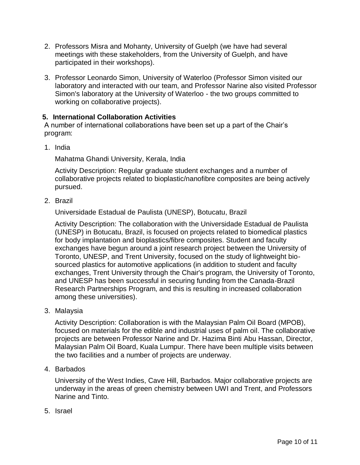- 2. Professors Misra and Mohanty, University of Guelph (we have had several meetings with these stakeholders, from the University of Guelph, and have participated in their workshops).
- 3. Professor Leonardo Simon, University of Waterloo (Professor Simon visited our laboratory and interacted with our team, and Professor Narine also visited Professor Simon's laboratory at the University of Waterloo - the two groups committed to working on collaborative projects).

# **5. International Collaboration Activities**

A number of international collaborations have been set up a part of the Chair's program:

1. India

Mahatma Ghandi University, Kerala, India

Activity Description: Regular graduate student exchanges and a number of collaborative projects related to bioplastic/nanofibre composites are being actively pursued.

2. Brazil

Universidade Estadual de Paulista (UNESP), Botucatu, Brazil

Activity Description: The collaboration with the Universidade Estadual de Paulista (UNESP) in Botucatu, Brazil, is focused on projects related to biomedical plastics for body implantation and bioplastics/fibre composites. Student and faculty exchanges have begun around a joint research project between the University of Toronto, UNESP, and Trent University, focused on the study of lightweight biosourced plastics for automotive applications (in addition to student and faculty exchanges, Trent University through the Chair's program, the University of Toronto, and UNESP has been successful in securing funding from the Canada-Brazil Research Partnerships Program, and this is resulting in increased collaboration among these universities).

3. Malaysia

Activity Description: Collaboration is with the Malaysian Palm Oil Board (MPOB), focused on materials for the edible and industrial uses of palm oil. The collaborative projects are between Professor Narine and Dr. Hazima Binti Abu Hassan, Director, Malaysian Palm Oil Board, Kuala Lumpur. There have been multiple visits between the two facilities and a number of projects are underway.

4. Barbados

University of the West Indies, Cave Hill, Barbados. Major collaborative projects are underway in the areas of green chemistry between UWI and Trent, and Professors Narine and Tinto.

5. Israel